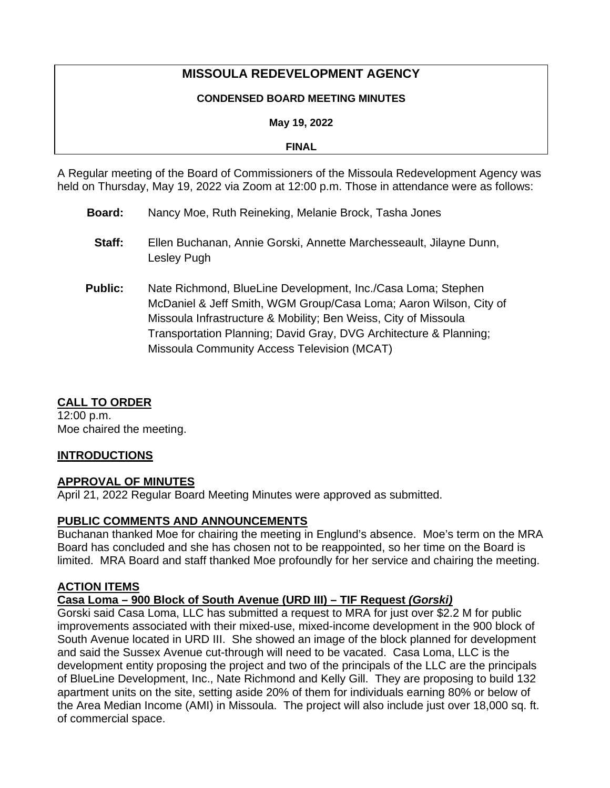# **MISSOULA REDEVELOPMENT AGENCY**

#### **CONDENSED BOARD MEETING MINUTES**

**May 19, 2022**

**FINAL**

A Regular meeting of the Board of Commissioners of the Missoula Redevelopment Agency was held on Thursday, May 19, 2022 via Zoom at 12:00 p.m. Those in attendance were as follows:

- **Board:** Nancy Moe, Ruth Reineking, Melanie Brock, Tasha Jones
	- **Staff:** Ellen Buchanan, Annie Gorski, Annette Marchesseault, Jilayne Dunn, Lesley Pugh
- **Public:** Nate Richmond, BlueLine Development, Inc./Casa Loma; Stephen McDaniel & Jeff Smith, WGM Group/Casa Loma; Aaron Wilson, City of Missoula Infrastructure & Mobility; Ben Weiss, City of Missoula Transportation Planning; David Gray, DVG Architecture & Planning; Missoula Community Access Television (MCAT)

## **CALL TO ORDER**

12:00 p.m. Moe chaired the meeting.

## **INTRODUCTIONS**

## **APPROVAL OF MINUTES**

April 21, 2022 Regular Board Meeting Minutes were approved as submitted.

## **PUBLIC COMMENTS AND ANNOUNCEMENTS**

Buchanan thanked Moe for chairing the meeting in Englund's absence. Moe's term on the MRA Board has concluded and she has chosen not to be reappointed, so her time on the Board is limited. MRA Board and staff thanked Moe profoundly for her service and chairing the meeting.

## **ACTION ITEMS**

## **Casa Loma – 900 Block of South Avenue (URD III) – TIF Request** *(Gorski)*

Gorski said Casa Loma, LLC has submitted a request to MRA for just over \$2.2 M for public improvements associated with their mixed-use, mixed-income development in the 900 block of South Avenue located in URD III. She showed an image of the block planned for development and said the Sussex Avenue cut-through will need to be vacated. Casa Loma, LLC is the development entity proposing the project and two of the principals of the LLC are the principals of BlueLine Development, Inc., Nate Richmond and Kelly Gill. They are proposing to build 132 apartment units on the site, setting aside 20% of them for individuals earning 80% or below of the Area Median Income (AMI) in Missoula. The project will also include just over 18,000 sq. ft. of commercial space.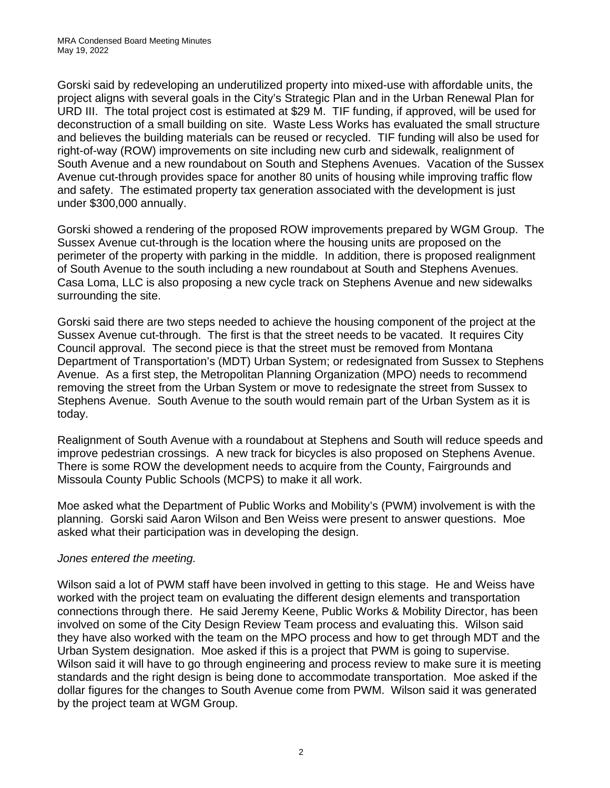Gorski said by redeveloping an underutilized property into mixed-use with affordable units, the project aligns with several goals in the City's Strategic Plan and in the Urban Renewal Plan for URD III. The total project cost is estimated at \$29 M. TIF funding, if approved, will be used for deconstruction of a small building on site. Waste Less Works has evaluated the small structure and believes the building materials can be reused or recycled. TIF funding will also be used for right-of-way (ROW) improvements on site including new curb and sidewalk, realignment of South Avenue and a new roundabout on South and Stephens Avenues. Vacation of the Sussex Avenue cut-through provides space for another 80 units of housing while improving traffic flow and safety. The estimated property tax generation associated with the development is just under \$300,000 annually.

Gorski showed a rendering of the proposed ROW improvements prepared by WGM Group. The Sussex Avenue cut-through is the location where the housing units are proposed on the perimeter of the property with parking in the middle. In addition, there is proposed realignment of South Avenue to the south including a new roundabout at South and Stephens Avenues. Casa Loma, LLC is also proposing a new cycle track on Stephens Avenue and new sidewalks surrounding the site.

Gorski said there are two steps needed to achieve the housing component of the project at the Sussex Avenue cut-through. The first is that the street needs to be vacated. It requires City Council approval. The second piece is that the street must be removed from Montana Department of Transportation's (MDT) Urban System; or redesignated from Sussex to Stephens Avenue. As a first step, the Metropolitan Planning Organization (MPO) needs to recommend removing the street from the Urban System or move to redesignate the street from Sussex to Stephens Avenue. South Avenue to the south would remain part of the Urban System as it is today.

Realignment of South Avenue with a roundabout at Stephens and South will reduce speeds and improve pedestrian crossings. A new track for bicycles is also proposed on Stephens Avenue. There is some ROW the development needs to acquire from the County, Fairgrounds and Missoula County Public Schools (MCPS) to make it all work.

Moe asked what the Department of Public Works and Mobility's (PWM) involvement is with the planning. Gorski said Aaron Wilson and Ben Weiss were present to answer questions. Moe asked what their participation was in developing the design.

#### *Jones entered the meeting.*

Wilson said a lot of PWM staff have been involved in getting to this stage. He and Weiss have worked with the project team on evaluating the different design elements and transportation connections through there. He said Jeremy Keene, Public Works & Mobility Director, has been involved on some of the City Design Review Team process and evaluating this. Wilson said they have also worked with the team on the MPO process and how to get through MDT and the Urban System designation. Moe asked if this is a project that PWM is going to supervise. Wilson said it will have to go through engineering and process review to make sure it is meeting standards and the right design is being done to accommodate transportation. Moe asked if the dollar figures for the changes to South Avenue come from PWM. Wilson said it was generated by the project team at WGM Group.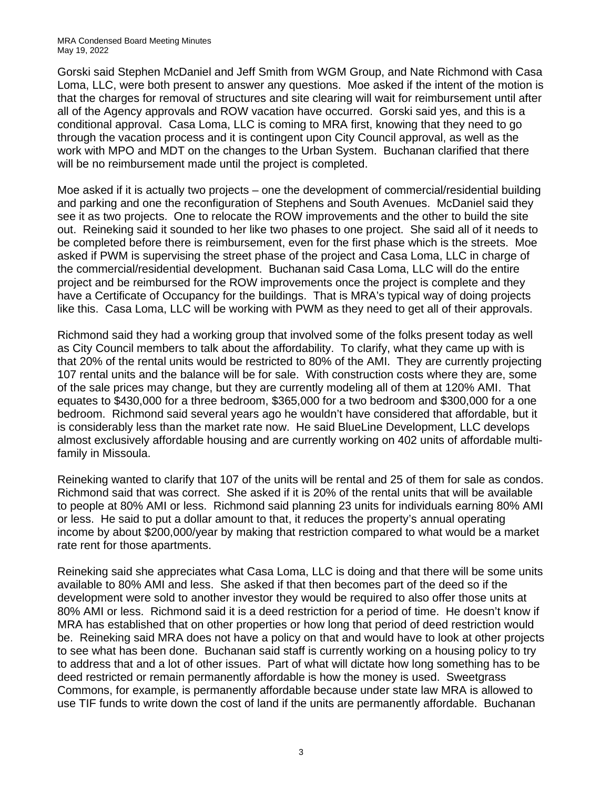Gorski said Stephen McDaniel and Jeff Smith from WGM Group, and Nate Richmond with Casa Loma, LLC, were both present to answer any questions. Moe asked if the intent of the motion is that the charges for removal of structures and site clearing will wait for reimbursement until after all of the Agency approvals and ROW vacation have occurred. Gorski said yes, and this is a conditional approval. Casa Loma, LLC is coming to MRA first, knowing that they need to go through the vacation process and it is contingent upon City Council approval, as well as the work with MPO and MDT on the changes to the Urban System. Buchanan clarified that there will be no reimbursement made until the project is completed.

Moe asked if it is actually two projects – one the development of commercial/residential building and parking and one the reconfiguration of Stephens and South Avenues. McDaniel said they see it as two projects. One to relocate the ROW improvements and the other to build the site out. Reineking said it sounded to her like two phases to one project. She said all of it needs to be completed before there is reimbursement, even for the first phase which is the streets. Moe asked if PWM is supervising the street phase of the project and Casa Loma, LLC in charge of the commercial/residential development. Buchanan said Casa Loma, LLC will do the entire project and be reimbursed for the ROW improvements once the project is complete and they have a Certificate of Occupancy for the buildings. That is MRA's typical way of doing projects like this. Casa Loma, LLC will be working with PWM as they need to get all of their approvals.

Richmond said they had a working group that involved some of the folks present today as well as City Council members to talk about the affordability. To clarify, what they came up with is that 20% of the rental units would be restricted to 80% of the AMI. They are currently projecting 107 rental units and the balance will be for sale. With construction costs where they are, some of the sale prices may change, but they are currently modeling all of them at 120% AMI. That equates to \$430,000 for a three bedroom, \$365,000 for a two bedroom and \$300,000 for a one bedroom. Richmond said several years ago he wouldn't have considered that affordable, but it is considerably less than the market rate now. He said BlueLine Development, LLC develops almost exclusively affordable housing and are currently working on 402 units of affordable multifamily in Missoula.

Reineking wanted to clarify that 107 of the units will be rental and 25 of them for sale as condos. Richmond said that was correct. She asked if it is 20% of the rental units that will be available to people at 80% AMI or less. Richmond said planning 23 units for individuals earning 80% AMI or less. He said to put a dollar amount to that, it reduces the property's annual operating income by about \$200,000/year by making that restriction compared to what would be a market rate rent for those apartments.

Reineking said she appreciates what Casa Loma, LLC is doing and that there will be some units available to 80% AMI and less. She asked if that then becomes part of the deed so if the development were sold to another investor they would be required to also offer those units at 80% AMI or less. Richmond said it is a deed restriction for a period of time. He doesn't know if MRA has established that on other properties or how long that period of deed restriction would be. Reineking said MRA does not have a policy on that and would have to look at other projects to see what has been done. Buchanan said staff is currently working on a housing policy to try to address that and a lot of other issues. Part of what will dictate how long something has to be deed restricted or remain permanently affordable is how the money is used. Sweetgrass Commons, for example, is permanently affordable because under state law MRA is allowed to use TIF funds to write down the cost of land if the units are permanently affordable. Buchanan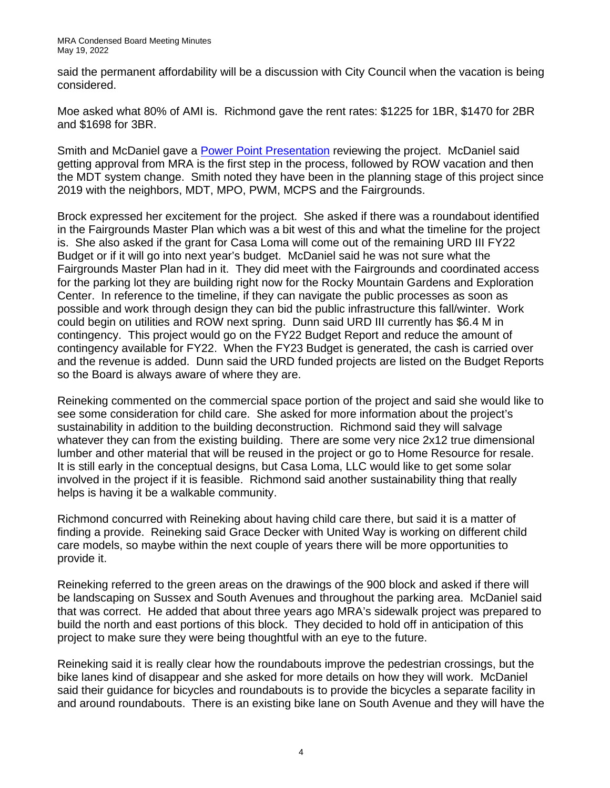said the permanent affordability will be a discussion with City Council when the vacation is being considered.

Moe asked what 80% of AMI is. Richmond gave the rent rates: \$1225 for 1BR, \$1470 for 2BR and \$1698 for 3BR.

Smith and McDaniel gave a [Power Point Presentation](https://www.ci.missoula.mt.us/DocumentCenter/View/60757/Casa-Loma-MRA-Board-Presentation-by-WGM) reviewing the project. McDaniel said getting approval from MRA is the first step in the process, followed by ROW vacation and then the MDT system change. Smith noted they have been in the planning stage of this project since 2019 with the neighbors, MDT, MPO, PWM, MCPS and the Fairgrounds.

Brock expressed her excitement for the project. She asked if there was a roundabout identified in the Fairgrounds Master Plan which was a bit west of this and what the timeline for the project is. She also asked if the grant for Casa Loma will come out of the remaining URD III FY22 Budget or if it will go into next year's budget. McDaniel said he was not sure what the Fairgrounds Master Plan had in it. They did meet with the Fairgrounds and coordinated access for the parking lot they are building right now for the Rocky Mountain Gardens and Exploration Center. In reference to the timeline, if they can navigate the public processes as soon as possible and work through design they can bid the public infrastructure this fall/winter. Work could begin on utilities and ROW next spring. Dunn said URD III currently has \$6.4 M in contingency. This project would go on the FY22 Budget Report and reduce the amount of contingency available for FY22. When the FY23 Budget is generated, the cash is carried over and the revenue is added. Dunn said the URD funded projects are listed on the Budget Reports so the Board is always aware of where they are.

Reineking commented on the commercial space portion of the project and said she would like to see some consideration for child care. She asked for more information about the project's sustainability in addition to the building deconstruction. Richmond said they will salvage whatever they can from the existing building. There are some very nice 2x12 true dimensional lumber and other material that will be reused in the project or go to Home Resource for resale. It is still early in the conceptual designs, but Casa Loma, LLC would like to get some solar involved in the project if it is feasible. Richmond said another sustainability thing that really helps is having it be a walkable community.

Richmond concurred with Reineking about having child care there, but said it is a matter of finding a provide. Reineking said Grace Decker with United Way is working on different child care models, so maybe within the next couple of years there will be more opportunities to provide it.

Reineking referred to the green areas on the drawings of the 900 block and asked if there will be landscaping on Sussex and South Avenues and throughout the parking area. McDaniel said that was correct. He added that about three years ago MRA's sidewalk project was prepared to build the north and east portions of this block. They decided to hold off in anticipation of this project to make sure they were being thoughtful with an eye to the future.

Reineking said it is really clear how the roundabouts improve the pedestrian crossings, but the bike lanes kind of disappear and she asked for more details on how they will work. McDaniel said their guidance for bicycles and roundabouts is to provide the bicycles a separate facility in and around roundabouts. There is an existing bike lane on South Avenue and they will have the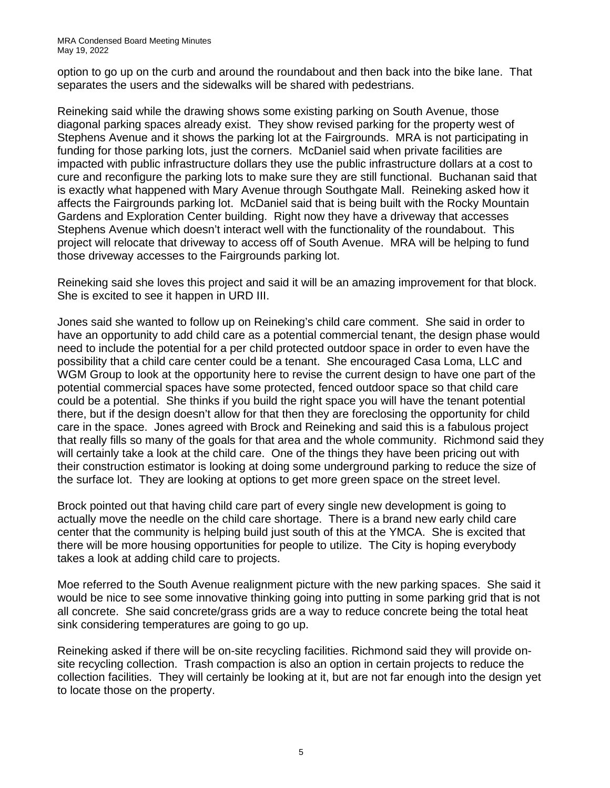option to go up on the curb and around the roundabout and then back into the bike lane. That separates the users and the sidewalks will be shared with pedestrians.

Reineking said while the drawing shows some existing parking on South Avenue, those diagonal parking spaces already exist. They show revised parking for the property west of Stephens Avenue and it shows the parking lot at the Fairgrounds. MRA is not participating in funding for those parking lots, just the corners. McDaniel said when private facilities are impacted with public infrastructure dollars they use the public infrastructure dollars at a cost to cure and reconfigure the parking lots to make sure they are still functional. Buchanan said that is exactly what happened with Mary Avenue through Southgate Mall. Reineking asked how it affects the Fairgrounds parking lot. McDaniel said that is being built with the Rocky Mountain Gardens and Exploration Center building. Right now they have a driveway that accesses Stephens Avenue which doesn't interact well with the functionality of the roundabout. This project will relocate that driveway to access off of South Avenue. MRA will be helping to fund those driveway accesses to the Fairgrounds parking lot.

Reineking said she loves this project and said it will be an amazing improvement for that block. She is excited to see it happen in URD III.

Jones said she wanted to follow up on Reineking's child care comment. She said in order to have an opportunity to add child care as a potential commercial tenant, the design phase would need to include the potential for a per child protected outdoor space in order to even have the possibility that a child care center could be a tenant. She encouraged Casa Loma, LLC and WGM Group to look at the opportunity here to revise the current design to have one part of the potential commercial spaces have some protected, fenced outdoor space so that child care could be a potential. She thinks if you build the right space you will have the tenant potential there, but if the design doesn't allow for that then they are foreclosing the opportunity for child care in the space. Jones agreed with Brock and Reineking and said this is a fabulous project that really fills so many of the goals for that area and the whole community. Richmond said they will certainly take a look at the child care. One of the things they have been pricing out with their construction estimator is looking at doing some underground parking to reduce the size of the surface lot. They are looking at options to get more green space on the street level.

Brock pointed out that having child care part of every single new development is going to actually move the needle on the child care shortage. There is a brand new early child care center that the community is helping build just south of this at the YMCA. She is excited that there will be more housing opportunities for people to utilize. The City is hoping everybody takes a look at adding child care to projects.

Moe referred to the South Avenue realignment picture with the new parking spaces. She said it would be nice to see some innovative thinking going into putting in some parking grid that is not all concrete. She said concrete/grass grids are a way to reduce concrete being the total heat sink considering temperatures are going to go up.

Reineking asked if there will be on-site recycling facilities. Richmond said they will provide onsite recycling collection. Trash compaction is also an option in certain projects to reduce the collection facilities. They will certainly be looking at it, but are not far enough into the design yet to locate those on the property.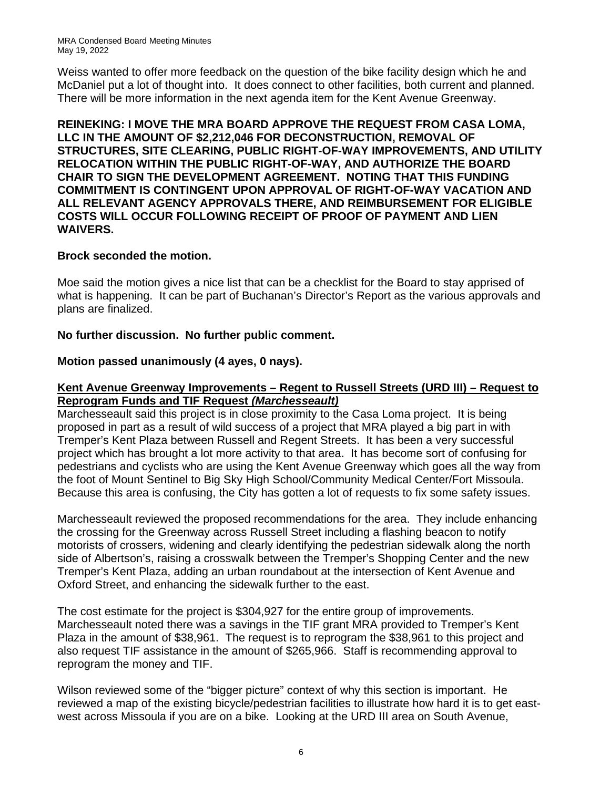Weiss wanted to offer more feedback on the question of the bike facility design which he and McDaniel put a lot of thought into. It does connect to other facilities, both current and planned. There will be more information in the next agenda item for the Kent Avenue Greenway.

**REINEKING: I MOVE THE MRA BOARD APPROVE THE REQUEST FROM CASA LOMA, LLC IN THE AMOUNT OF \$2,212,046 FOR DECONSTRUCTION, REMOVAL OF STRUCTURES, SITE CLEARING, PUBLIC RIGHT-OF-WAY IMPROVEMENTS, AND UTILITY RELOCATION WITHIN THE PUBLIC RIGHT-OF-WAY, AND AUTHORIZE THE BOARD CHAIR TO SIGN THE DEVELOPMENT AGREEMENT. NOTING THAT THIS FUNDING COMMITMENT IS CONTINGENT UPON APPROVAL OF RIGHT-OF-WAY VACATION AND ALL RELEVANT AGENCY APPROVALS THERE, AND REIMBURSEMENT FOR ELIGIBLE COSTS WILL OCCUR FOLLOWING RECEIPT OF PROOF OF PAYMENT AND LIEN WAIVERS.** 

### **Brock seconded the motion.**

Moe said the motion gives a nice list that can be a checklist for the Board to stay apprised of what is happening. It can be part of Buchanan's Director's Report as the various approvals and plans are finalized.

### **No further discussion. No further public comment.**

### **Motion passed unanimously (4 ayes, 0 nays).**

#### **Kent Avenue Greenway Improvements – Regent to Russell Streets (URD III) – Request to Reprogram Funds and TIF Request** *(Marchesseault)*

Marchesseault said this project is in close proximity to the Casa Loma project. It is being proposed in part as a result of wild success of a project that MRA played a big part in with Tremper's Kent Plaza between Russell and Regent Streets. It has been a very successful project which has brought a lot more activity to that area. It has become sort of confusing for pedestrians and cyclists who are using the Kent Avenue Greenway which goes all the way from the foot of Mount Sentinel to Big Sky High School/Community Medical Center/Fort Missoula. Because this area is confusing, the City has gotten a lot of requests to fix some safety issues.

Marchesseault reviewed the proposed recommendations for the area. They include enhancing the crossing for the Greenway across Russell Street including a flashing beacon to notify motorists of crossers, widening and clearly identifying the pedestrian sidewalk along the north side of Albertson's, raising a crosswalk between the Tremper's Shopping Center and the new Tremper's Kent Plaza, adding an urban roundabout at the intersection of Kent Avenue and Oxford Street, and enhancing the sidewalk further to the east.

The cost estimate for the project is \$304,927 for the entire group of improvements. Marchesseault noted there was a savings in the TIF grant MRA provided to Tremper's Kent Plaza in the amount of \$38,961. The request is to reprogram the \$38,961 to this project and also request TIF assistance in the amount of \$265,966. Staff is recommending approval to reprogram the money and TIF.

Wilson reviewed some of the "bigger picture" context of why this section is important. He reviewed a map of the existing bicycle/pedestrian facilities to illustrate how hard it is to get eastwest across Missoula if you are on a bike. Looking at the URD III area on South Avenue,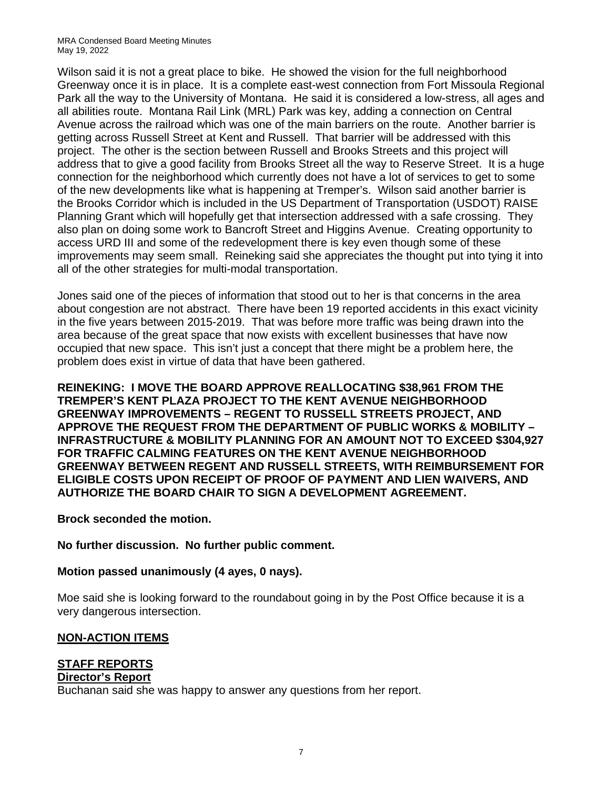Wilson said it is not a great place to bike. He showed the vision for the full neighborhood Greenway once it is in place. It is a complete east-west connection from Fort Missoula Regional Park all the way to the University of Montana. He said it is considered a low-stress, all ages and all abilities route. Montana Rail Link (MRL) Park was key, adding a connection on Central Avenue across the railroad which was one of the main barriers on the route. Another barrier is getting across Russell Street at Kent and Russell. That barrier will be addressed with this project. The other is the section between Russell and Brooks Streets and this project will address that to give a good facility from Brooks Street all the way to Reserve Street. It is a huge connection for the neighborhood which currently does not have a lot of services to get to some of the new developments like what is happening at Tremper's. Wilson said another barrier is the Brooks Corridor which is included in the US Department of Transportation (USDOT) RAISE Planning Grant which will hopefully get that intersection addressed with a safe crossing. They also plan on doing some work to Bancroft Street and Higgins Avenue. Creating opportunity to access URD III and some of the redevelopment there is key even though some of these improvements may seem small. Reineking said she appreciates the thought put into tying it into all of the other strategies for multi-modal transportation.

Jones said one of the pieces of information that stood out to her is that concerns in the area about congestion are not abstract. There have been 19 reported accidents in this exact vicinity in the five years between 2015-2019. That was before more traffic was being drawn into the area because of the great space that now exists with excellent businesses that have now occupied that new space. This isn't just a concept that there might be a problem here, the problem does exist in virtue of data that have been gathered.

**REINEKING: I MOVE THE BOARD APPROVE REALLOCATING \$38,961 FROM THE TREMPER'S KENT PLAZA PROJECT TO THE KENT AVENUE NEIGHBORHOOD GREENWAY IMPROVEMENTS – REGENT TO RUSSELL STREETS PROJECT, AND APPROVE THE REQUEST FROM THE DEPARTMENT OF PUBLIC WORKS & MOBILITY – INFRASTRUCTURE & MOBILITY PLANNING FOR AN AMOUNT NOT TO EXCEED \$304,927 FOR TRAFFIC CALMING FEATURES ON THE KENT AVENUE NEIGHBORHOOD GREENWAY BETWEEN REGENT AND RUSSELL STREETS, WITH REIMBURSEMENT FOR ELIGIBLE COSTS UPON RECEIPT OF PROOF OF PAYMENT AND LIEN WAIVERS, AND AUTHORIZE THE BOARD CHAIR TO SIGN A DEVELOPMENT AGREEMENT.** 

#### **Brock seconded the motion.**

**No further discussion. No further public comment.**

#### **Motion passed unanimously (4 ayes, 0 nays).**

Moe said she is looking forward to the roundabout going in by the Post Office because it is a very dangerous intersection.

#### **NON-ACTION ITEMS**

# **STAFF REPORTS**

### **Director's Report**

Buchanan said she was happy to answer any questions from her report.